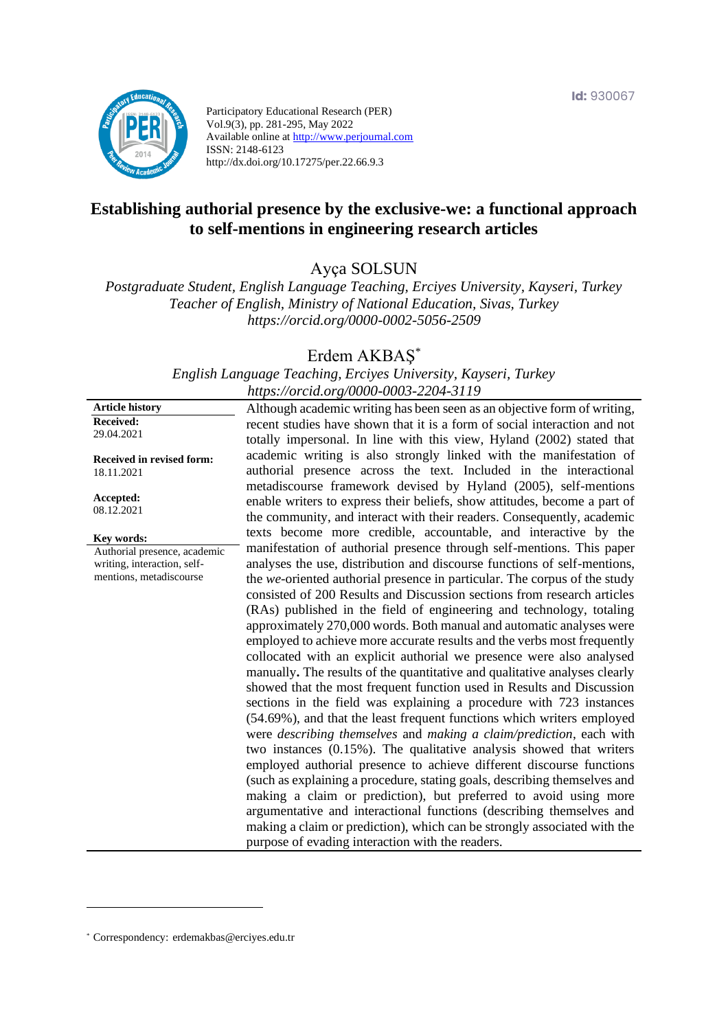

Participatory Educational Research (PER) Vol.9(3), pp. 281-295, May 2022 Available online at http://www.perjournal.com ISSN: 2148-6123 http://dx.doi.org/10.17275/per.22.66.9.3

# **Establishing authorial presence by the exclusive-we: a functional approach to self-mentions in engineering research articles**

Ayça SOLSUN

*Postgraduate Student, English Language Teaching, Erciyes University, Kayseri, Turkey Teacher of English, Ministry of National Education, Sivas, Turkey <https://orcid.org/0000-0002-5056-2509>*

# Erdem AKBAŞ\*

*English Language Teaching, Erciyes University, Kayseri, Turkey <https://orcid.org/0000-0003-2204-3119>*

**Article history Received:**  29.04.2021

**Received in revised form:**  18.11.2021

**Accepted:** 08.12.2021

**Key words:**

Authorial presence, academic writing, interaction, selfmentions, metadiscourse

Although academic writing has been seen as an objective form of writing, recent studies have shown that it is a form of social interaction and not totally impersonal. In line with this view, Hyland (2002) stated that academic writing is also strongly linked with the manifestation of authorial presence across the text. Included in the interactional metadiscourse framework devised by Hyland (2005), self-mentions enable writers to express their beliefs, show attitudes, become a part of the community, and interact with their readers. Consequently, academic texts become more credible, accountable, and interactive by the manifestation of authorial presence through self-mentions. This paper analyses the use, distribution and discourse functions of self-mentions, the *we*-oriented authorial presence in particular. The corpus of the study consisted of 200 Results and Discussion sections from research articles (RAs) published in the field of engineering and technology, totaling approximately 270,000 words. Both manual and automatic analyses were employed to achieve more accurate results and the verbs most frequently collocated with an explicit authorial we presence were also analysed manually**.** The results of the quantitative and qualitative analyses clearly showed that the most frequent function used in Results and Discussion sections in the field was explaining a procedure with 723 instances (54.69%), and that the least frequent functions which writers employed were *describing themselves* and *making a claim/prediction*, each with two instances (0.15%). The qualitative analysis showed that writers employed authorial presence to achieve different discourse functions (such as explaining a procedure, stating goals, describing themselves and making a claim or prediction), but preferred to avoid using more argumentative and interactional functions (describing themselves and making a claim or prediction), which can be strongly associated with the purpose of evading interaction with the readers.

<sup>\*</sup> [Correspondency:](mailto:Correspondency:) erdemakbas@erciyes.edu.tr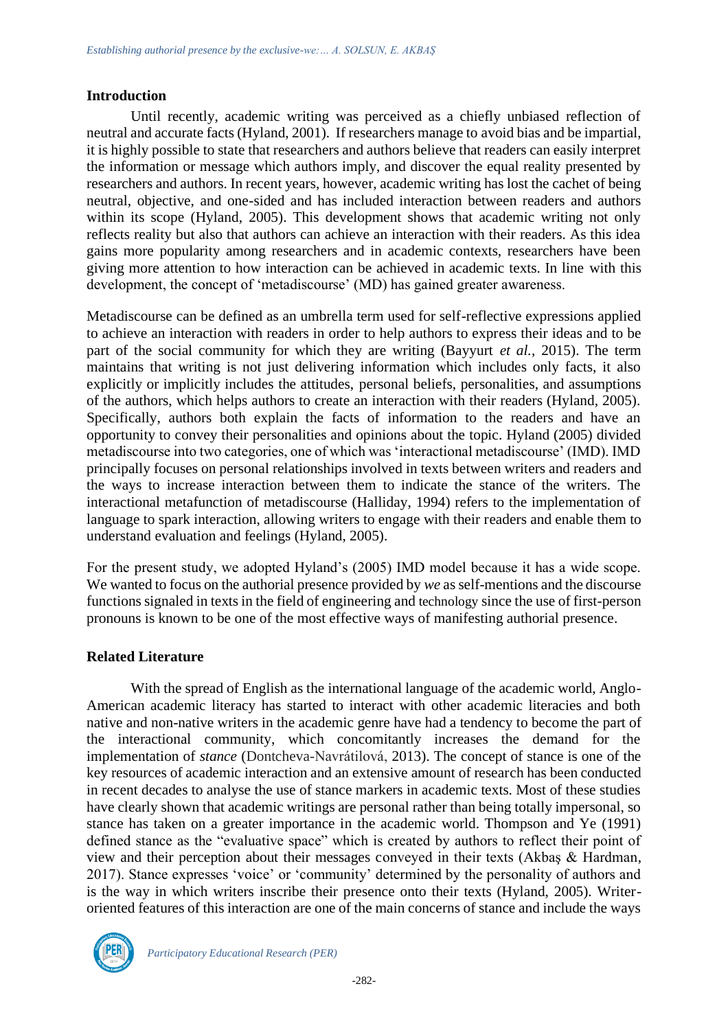#### **Introduction**

Until recently, academic writing was perceived as a chiefly unbiased reflection of neutral and accurate facts (Hyland, 2001). If researchers manage to avoid bias and be impartial, it is highly possible to state that researchers and authors believe that readers can easily interpret the information or message which authors imply, and discover the equal reality presented by researchers and authors. In recent years, however, academic writing has lost the cachet of being neutral, objective, and one-sided and has included interaction between readers and authors within its scope (Hyland, 2005). This development shows that academic writing not only reflects reality but also that authors can achieve an interaction with their readers. As this idea gains more popularity among researchers and in academic contexts, researchers have been giving more attention to how interaction can be achieved in academic texts. In line with this development, the concept of 'metadiscourse' (MD) has gained greater awareness.

Metadiscourse can be defined as an umbrella term used for self-reflective expressions applied to achieve an interaction with readers in order to help authors to express their ideas and to be part of the social community for which they are writing (Bayyurt *et al.*, 2015). The term maintains that writing is not just delivering information which includes only facts, it also explicitly or implicitly includes the attitudes, personal beliefs, personalities, and assumptions of the authors, which helps authors to create an interaction with their readers (Hyland, 2005). Specifically, authors both explain the facts of information to the readers and have an opportunity to convey their personalities and opinions about the topic. Hyland (2005) divided metadiscourse into two categories, one of which was 'interactional metadiscourse' (IMD). IMD principally focuses on personal relationships involved in texts between writers and readers and the ways to increase interaction between them to indicate the stance of the writers. The interactional metafunction of metadiscourse (Halliday, 1994) refers to the implementation of language to spark interaction, allowing writers to engage with their readers and enable them to understand evaluation and feelings (Hyland, 2005).

For the present study, we adopted Hyland's (2005) IMD model because it has a wide scope. We wanted to focus on the authorial presence provided by *we* as self-mentions and the discourse functions signaled in texts in the field of engineering and technology since the use of first-person pronouns is known to be one of the most effective ways of manifesting authorial presence.

# **Related Literature**

With the spread of English as the international language of the academic world, Anglo-American academic literacy has started to interact with other academic literacies and both native and non-native writers in the academic genre have had a tendency to become the part of the interactional community, which concomitantly increases the demand for the implementation of *stance* (Dontcheva-Navrátilová, 2013). The concept of stance is one of the key resources of academic interaction and an extensive amount of research has been conducted in recent decades to analyse the use of stance markers in academic texts. Most of these studies have clearly shown that academic writings are personal rather than being totally impersonal, so stance has taken on a greater importance in the academic world. Thompson and Ye (1991) defined stance as the "evaluative space" which is created by authors to reflect their point of view and their perception about their messages conveyed in their texts (Akbaş & Hardman, 2017). Stance expresses 'voice' or 'community' determined by the personality of authors and is the way in which writers inscribe their presence onto their texts (Hyland, 2005). Writeroriented features of this interaction are one of the main concerns of stance and include the ways

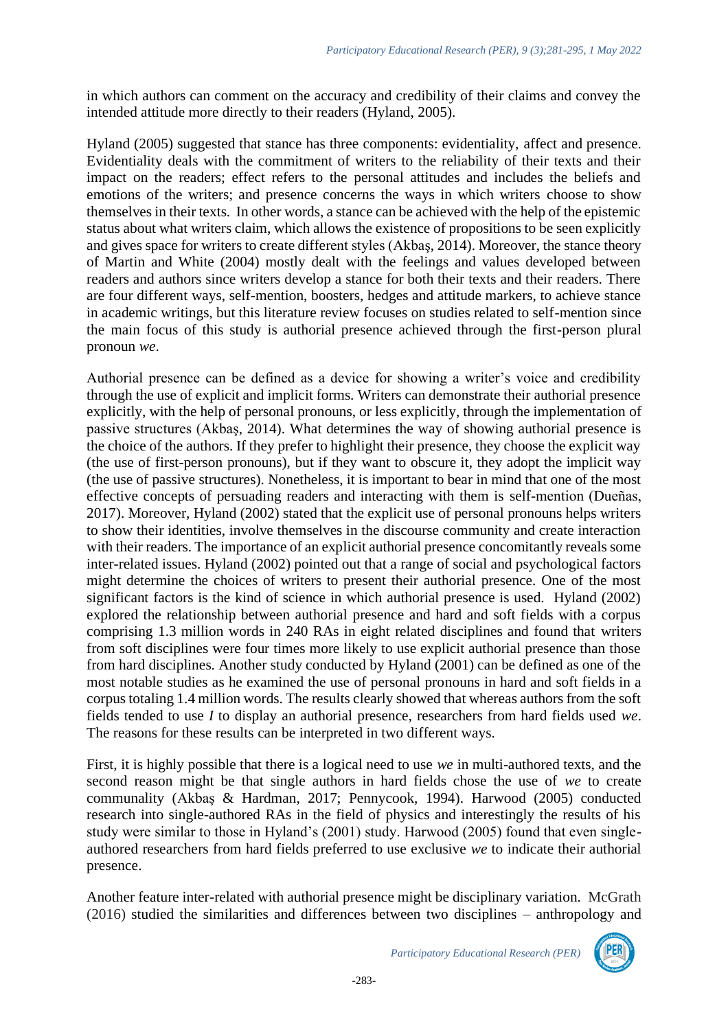in which authors can comment on the accuracy and credibility of their claims and convey the intended attitude more directly to their readers (Hyland, 2005).

Hyland (2005) suggested that stance has three components: evidentiality, affect and presence. Evidentiality deals with the commitment of writers to the reliability of their texts and their impact on the readers; effect refers to the personal attitudes and includes the beliefs and emotions of the writers; and presence concerns the ways in which writers choose to show themselves in their texts. In other words, a stance can be achieved with the help of the epistemic status about what writers claim, which allows the existence of propositions to be seen explicitly and gives space for writers to create different styles (Akbaş, 2014). Moreover, the stance theory of Martin and White (2004) mostly dealt with the feelings and values developed between readers and authors since writers develop a stance for both their texts and their readers. There are four different ways, self-mention, boosters, hedges and attitude markers, to achieve stance in academic writings, but this literature review focuses on studies related to self-mention since the main focus of this study is authorial presence achieved through the first-person plural pronoun *we*.

Authorial presence can be defined as a device for showing a writer's voice and credibility through the use of explicit and implicit forms. Writers can demonstrate their authorial presence explicitly, with the help of personal pronouns, or less explicitly, through the implementation of passive structures (Akbaş, 2014). What determines the way of showing authorial presence is the choice of the authors. If they prefer to highlight their presence, they choose the explicit way (the use of first-person pronouns), but if they want to obscure it, they adopt the implicit way (the use of passive structures). Nonetheless, it is important to bear in mind that one of the most effective concepts of persuading readers and interacting with them is self-mention (Dueñas, 2017). Moreover, Hyland (2002) stated that the explicit use of personal pronouns helps writers to show their identities, involve themselves in the discourse community and create interaction with their readers. The importance of an explicit authorial presence concomitantly reveals some inter-related issues. Hyland (2002) pointed out that a range of social and psychological factors might determine the choices of writers to present their authorial presence. One of the most significant factors is the kind of science in which authorial presence is used. Hyland (2002) explored the relationship between authorial presence and hard and soft fields with a corpus comprising 1.3 million words in 240 RAs in eight related disciplines and found that writers from soft disciplines were four times more likely to use explicit authorial presence than those from hard disciplines. Another study conducted by Hyland (2001) can be defined as one of the most notable studies as he examined the use of personal pronouns in hard and soft fields in a corpus totaling 1.4 million words. The results clearly showed that whereas authors from the soft fields tended to use *I* to display an authorial presence, researchers from hard fields used *we*. The reasons for these results can be interpreted in two different ways.

First, it is highly possible that there is a logical need to use *we* in multi-authored texts, and the second reason might be that single authors in hard fields chose the use of *we* to create communality (Akbaş & Hardman, 2017; Pennycook, 1994). Harwood (2005) conducted research into single-authored RAs in the field of physics and interestingly the results of his study were similar to those in Hyland's (2001) study. Harwood (2005) found that even singleauthored researchers from hard fields preferred to use exclusive *we* to indicate their authorial presence.

Another feature inter-related with authorial presence might be disciplinary variation. McGrath (2016) studied the similarities and differences between two disciplines – anthropology and

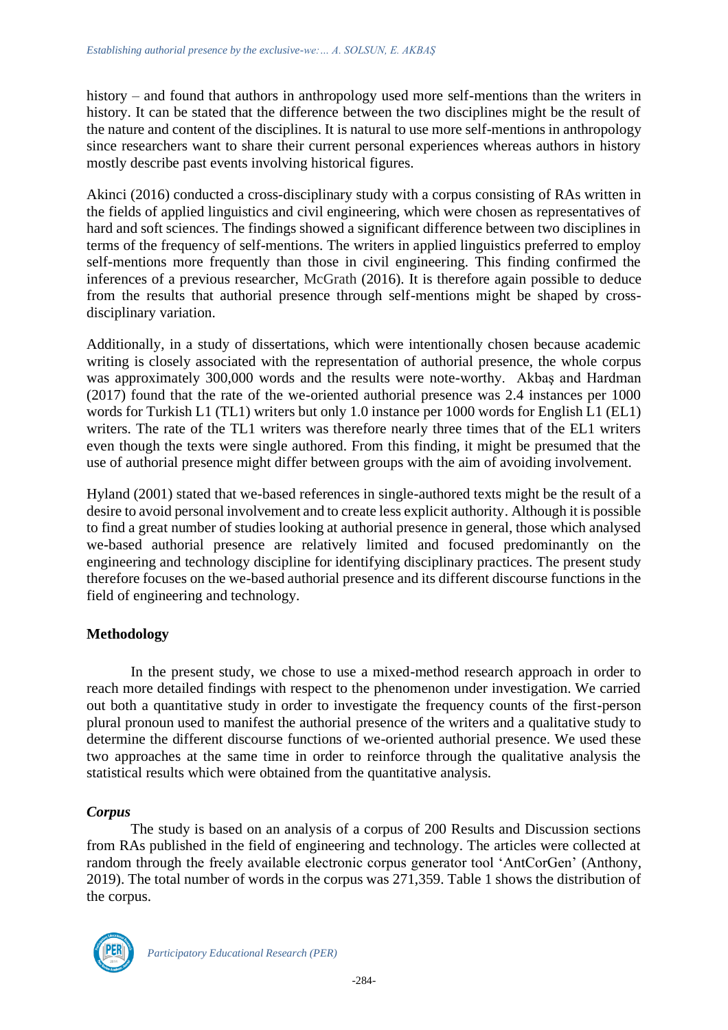history – and found that authors in anthropology used more self-mentions than the writers in history. It can be stated that the difference between the two disciplines might be the result of the nature and content of the disciplines. It is natural to use more self-mentions in anthropology since researchers want to share their current personal experiences whereas authors in history mostly describe past events involving historical figures.

Akinci (2016) conducted a cross-disciplinary study with a corpus consisting of RAs written in the fields of applied linguistics and civil engineering, which were chosen as representatives of hard and soft sciences. The findings showed a significant difference between two disciplines in terms of the frequency of self-mentions. The writers in applied linguistics preferred to employ self-mentions more frequently than those in civil engineering. This finding confirmed the inferences of a previous researcher, McGrath (2016). It is therefore again possible to deduce from the results that authorial presence through self-mentions might be shaped by crossdisciplinary variation.

Additionally, in a study of dissertations, which were intentionally chosen because academic writing is closely associated with the representation of authorial presence, the whole corpus was approximately 300,000 words and the results were note-worthy. Akbaş and Hardman (2017) found that the rate of the we-oriented authorial presence was 2.4 instances per 1000 words for Turkish L1 (TL1) writers but only 1.0 instance per 1000 words for English L1 (EL1) writers. The rate of the TL1 writers was therefore nearly three times that of the EL1 writers even though the texts were single authored. From this finding, it might be presumed that the use of authorial presence might differ between groups with the aim of avoiding involvement.

Hyland (2001) stated that we-based references in single-authored texts might be the result of a desire to avoid personal involvement and to create less explicit authority. Although it is possible to find a great number of studies looking at authorial presence in general, those which analysed we-based authorial presence are relatively limited and focused predominantly on the engineering and technology discipline for identifying disciplinary practices. The present study therefore focuses on the we-based authorial presence and its different discourse functions in the field of engineering and technology.

# **Methodology**

In the present study, we chose to use a mixed-method research approach in order to reach more detailed findings with respect to the phenomenon under investigation. We carried out both a quantitative study in order to investigate the frequency counts of the first-person plural pronoun used to manifest the authorial presence of the writers and a qualitative study to determine the different discourse functions of we-oriented authorial presence. We used these two approaches at the same time in order to reinforce through the qualitative analysis the statistical results which were obtained from the quantitative analysis.

# *Corpus*

The study is based on an analysis of a corpus of 200 Results and Discussion sections from RAs published in the field of engineering and technology. The articles were collected at random through the freely available electronic corpus generator tool 'AntCorGen' (Anthony, 2019). The total number of words in the corpus was 271,359. Table 1 shows the distribution of the corpus.

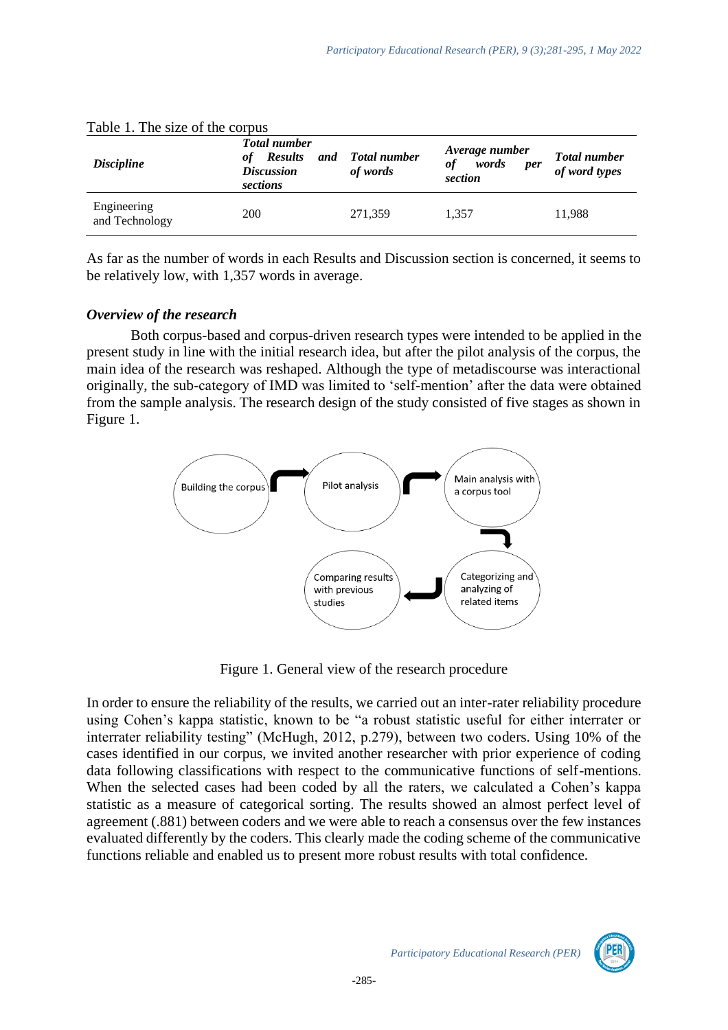| <i>Discipline</i>             | <b>Total number</b><br><b>Results</b><br>оf<br><b>Discussion</b><br>sections | and Total number<br>of words | Average number<br>words<br>of<br><i>per</i><br>section | <b>Total number</b><br>of word types |
|-------------------------------|------------------------------------------------------------------------------|------------------------------|--------------------------------------------------------|--------------------------------------|
| Engineering<br>and Technology | 200                                                                          | 271,359                      | 1.357                                                  | 11,988                               |

|  |  |  | Table 1. The size of the corpus |
|--|--|--|---------------------------------|
|  |  |  |                                 |

As far as the number of words in each Results and Discussion section is concerned, it seems to be relatively low, with 1,357 words in average.

### *Overview of the research*

Both corpus-based and corpus-driven research types were intended to be applied in the present study in line with the initial research idea, but after the pilot analysis of the corpus, the main idea of the research was reshaped. Although the type of metadiscourse was interactional originally, the sub-category of IMD was limited to 'self-mention' after the data were obtained from the sample analysis. The research design of the study consisted of five stages as shown in Figure 1.



Figure 1. General view of the research procedure

In order to ensure the reliability of the results, we carried out an inter-rater reliability procedure using Cohen's kappa statistic, known to be "a robust statistic useful for either interrater or interrater reliability testing" (McHugh, 2012, p.279), between two coders. Using 10% of the cases identified in our corpus, we invited another researcher with prior experience of coding data following classifications with respect to the communicative functions of self-mentions. When the selected cases had been coded by all the raters, we calculated a Cohen's kappa statistic as a measure of categorical sorting. The results showed an almost perfect level of agreement (.881) between coders and we were able to reach a consensus over the few instances evaluated differently by the coders. This clearly made the coding scheme of the communicative functions reliable and enabled us to present more robust results with total confidence.

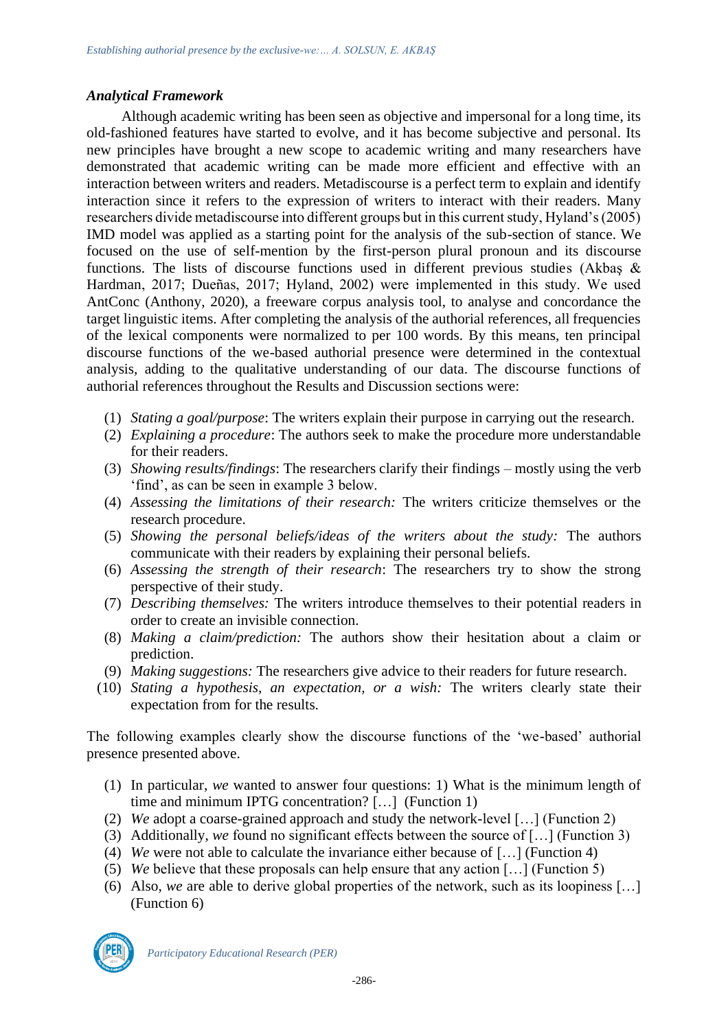### *Analytical Framework*

Although academic writing has been seen as objective and impersonal for a long time, its old-fashioned features have started to evolve, and it has become subjective and personal. Its new principles have brought a new scope to academic writing and many researchers have demonstrated that academic writing can be made more efficient and effective with an interaction between writers and readers. Metadiscourse is a perfect term to explain and identify interaction since it refers to the expression of writers to interact with their readers. Many researchers divide metadiscourse into different groups but in this current study, Hyland's (2005) IMD model was applied as a starting point for the analysis of the sub-section of stance. We focused on the use of self-mention by the first-person plural pronoun and its discourse functions. The lists of discourse functions used in different previous studies (Akbaş & Hardman, 2017; Dueñas, 2017; Hyland, 2002) were implemented in this study. We used AntConc (Anthony, 2020), a freeware corpus analysis tool, to analyse and concordance the target linguistic items. After completing the analysis of the authorial references, all frequencies of the lexical components were normalized to per 100 words. By this means, ten principal discourse functions of the we-based authorial presence were determined in the contextual analysis, adding to the qualitative understanding of our data. The discourse functions of authorial references throughout the Results and Discussion sections were:

- (1) *Stating a goal/purpose*: The writers explain their purpose in carrying out the research.
- (2) *Explaining a procedure*: The authors seek to make the procedure more understandable for their readers.
- (3) *Showing results/findings*: The researchers clarify their findings mostly using the verb 'find', as can be seen in example 3 below.
- (4) *Assessing the limitations of their research:* The writers criticize themselves or the research procedure.
- (5) *Showing the personal beliefs/ideas of the writers about the study:* The authors communicate with their readers by explaining their personal beliefs.
- (6) *Assessing the strength of their research*: The researchers try to show the strong perspective of their study.
- (7) *Describing themselves:* The writers introduce themselves to their potential readers in order to create an invisible connection.
- (8) *Making a claim/prediction:* The authors show their hesitation about a claim or prediction.
- (9) *Making suggestions:* The researchers give advice to their readers for future research.
- (10) *Stating a hypothesis, an expectation, or a wish:* The writers clearly state their expectation from for the results.

The following examples clearly show the discourse functions of the 'we-based' authorial presence presented above.

- (1) In particular, *we* wanted to answer four questions: 1) What is the minimum length of time and minimum IPTG concentration? […] (Function 1)
- (2) *We* adopt a coarse-grained approach and study the network-level […] (Function 2)
- (3) Additionally, *we* found no significant effects between the source of […] (Function 3)
- (4) *We* were not able to calculate the invariance either because of […] (Function 4)
- (5) *We* believe that these proposals can help ensure that any action […] (Function 5)
- (6) Also, *we* are able to derive global properties of the network, such as its loopiness […] (Function 6)

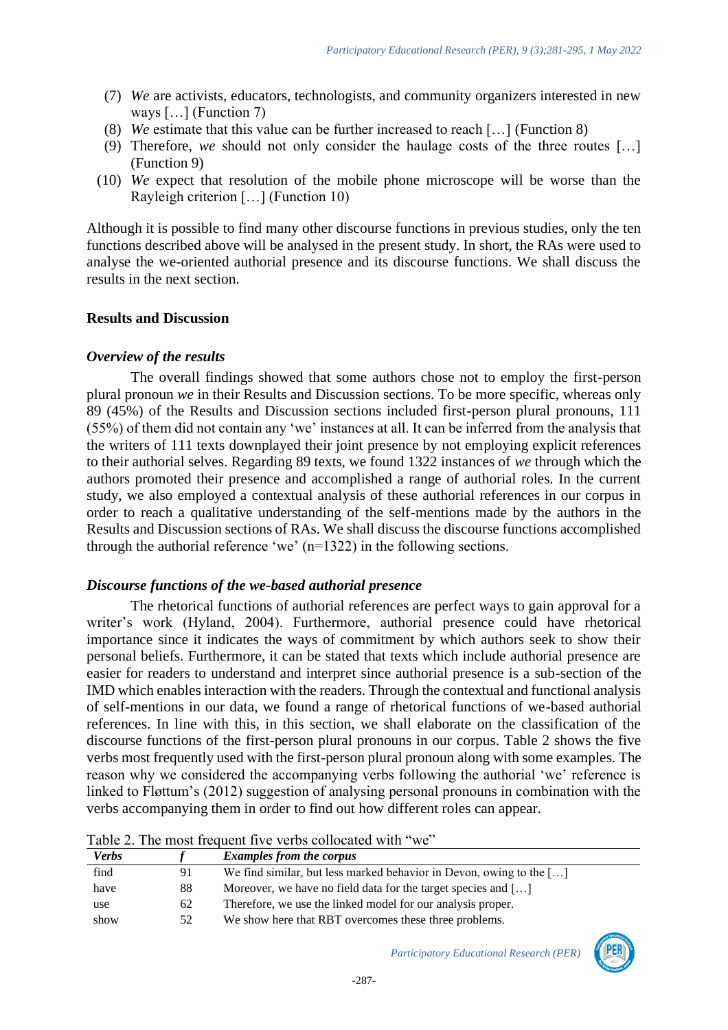- (7) *We* are activists, educators, technologists, and community organizers interested in new ways […] (Function 7)
- (8) *We* estimate that this value can be further increased to reach […] (Function 8)
- (9) Therefore, *we* should not only consider the haulage costs of the three routes […] (Function 9)
- (10) *We* expect that resolution of the mobile phone microscope will be worse than the Rayleigh criterion […] (Function 10)

Although it is possible to find many other discourse functions in previous studies, only the ten functions described above will be analysed in the present study. In short, the RAs were used to analyse the we-oriented authorial presence and its discourse functions. We shall discuss the results in the next section.

### **Results and Discussion**

#### *Overview of the results*

The overall findings showed that some authors chose not to employ the first-person plural pronoun *we* in their Results and Discussion sections. To be more specific, whereas only 89 (45%) of the Results and Discussion sections included first-person plural pronouns, 111 (55%) of them did not contain any 'we' instances at all. It can be inferred from the analysis that the writers of 111 texts downplayed their joint presence by not employing explicit references to their authorial selves. Regarding 89 texts, we found 1322 instances of *we* through which the authors promoted their presence and accomplished a range of authorial roles. In the current study, we also employed a contextual analysis of these authorial references in our corpus in order to reach a qualitative understanding of the self-mentions made by the authors in the Results and Discussion sections of RAs. We shall discuss the discourse functions accomplished through the authorial reference 'we'  $(n=1322)$  in the following sections.

#### *Discourse functions of the we-based authorial presence*

The rhetorical functions of authorial references are perfect ways to gain approval for a writer's work (Hyland, 2004). Furthermore, authorial presence could have rhetorical importance since it indicates the ways of commitment by which authors seek to show their personal beliefs. Furthermore, it can be stated that texts which include authorial presence are easier for readers to understand and interpret since authorial presence is a sub-section of the IMD which enables interaction with the readers. Through the contextual and functional analysis of self-mentions in our data, we found a range of rhetorical functions of we-based authorial references. In line with this, in this section, we shall elaborate on the classification of the discourse functions of the first-person plural pronouns in our corpus. Table 2 shows the five verbs most frequently used with the first-person plural pronoun along with some examples. The reason why we considered the accompanying verbs following the authorial 'we' reference is linked to Fløttum's (2012) suggestion of analysing personal pronouns in combination with the verbs accompanying them in order to find out how different roles can appear.

| <b>Verbs</b> |    | <b>Examples from the corpus</b>                                            |
|--------------|----|----------------------------------------------------------------------------|
| find         | 91 | We find similar, but less marked behavior in Devon, owing to the $[\dots]$ |
| have         | 88 | Moreover, we have no field data for the target species and $[\dots]$       |
| use          | 62 | Therefore, we use the linked model for our analysis proper.                |
| show         | 52 | We show here that RBT overcomes these three problems.                      |

Table 2. The most frequent five verbs collocated with "we"

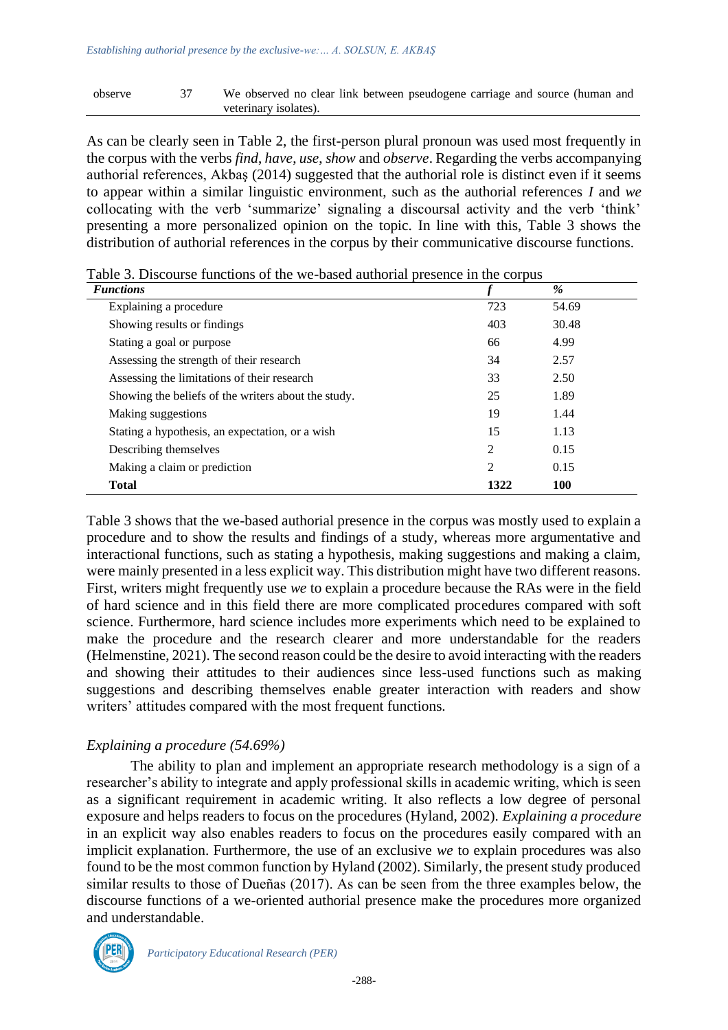#### observe 37 We observed no clear link between pseudogene carriage and source (human and veterinary isolates).

As can be clearly seen in Table 2, the first-person plural pronoun was used most frequently in the corpus with the verbs *find*, *have*, *use*, *show* and *observe*. Regarding the verbs accompanying authorial references, Akbaş (2014) suggested that the authorial role is distinct even if it seems to appear within a similar linguistic environment, such as the authorial references *I* and *we* collocating with the verb 'summarize' signaling a discoursal activity and the verb 'think' presenting a more personalized opinion on the topic. In line with this, Table 3 shows the distribution of authorial references in the corpus by their communicative discourse functions.

| <b>Functions</b>                                    |                | $\%$       |  |
|-----------------------------------------------------|----------------|------------|--|
| Explaining a procedure                              | 723            | 54.69      |  |
| Showing results or findings                         | 403            | 30.48      |  |
| Stating a goal or purpose                           | 66             | 4.99       |  |
| Assessing the strength of their research            | 34             | 2.57       |  |
| Assessing the limitations of their research         | 33             | 2.50       |  |
| Showing the beliefs of the writers about the study. | 25             | 1.89       |  |
| Making suggestions                                  | 19             | 1.44       |  |
| Stating a hypothesis, an expectation, or a wish     | 15             | 1.13       |  |
| Describing themselves                               | $\overline{2}$ | 0.15       |  |
| Making a claim or prediction                        | $\mathfrak{D}$ | 0.15       |  |
| <b>Total</b>                                        | 1322           | <b>100</b> |  |

Table 3. Discourse functions of the we-based authorial presence in the corpus

Table 3 shows that the we-based authorial presence in the corpus was mostly used to explain a procedure and to show the results and findings of a study, whereas more argumentative and interactional functions, such as stating a hypothesis, making suggestions and making a claim, were mainly presented in a less explicit way. This distribution might have two different reasons. First, writers might frequently use *we* to explain a procedure because the RAs were in the field of hard science and in this field there are more complicated procedures compared with soft science. Furthermore, hard science includes more experiments which need to be explained to make the procedure and the research clearer and more understandable for the readers (Helmenstine, 2021). The second reason could be the desire to avoid interacting with the readers and showing their attitudes to their audiences since less-used functions such as making suggestions and describing themselves enable greater interaction with readers and show writers' attitudes compared with the most frequent functions.

# *Explaining a procedure (54.69%)*

The ability to plan and implement an appropriate research methodology is a sign of a researcher's ability to integrate and apply professional skills in academic writing, which is seen as a significant requirement in academic writing. It also reflects a low degree of personal exposure and helps readers to focus on the procedures (Hyland, 2002). *Explaining a procedure* in an explicit way also enables readers to focus on the procedures easily compared with an implicit explanation. Furthermore, the use of an exclusive *we* to explain procedures was also found to be the most common function by Hyland (2002). Similarly, the present study produced similar results to those of Dueñas (2017). As can be seen from the three examples below, the discourse functions of a we-oriented authorial presence make the procedures more organized and understandable.

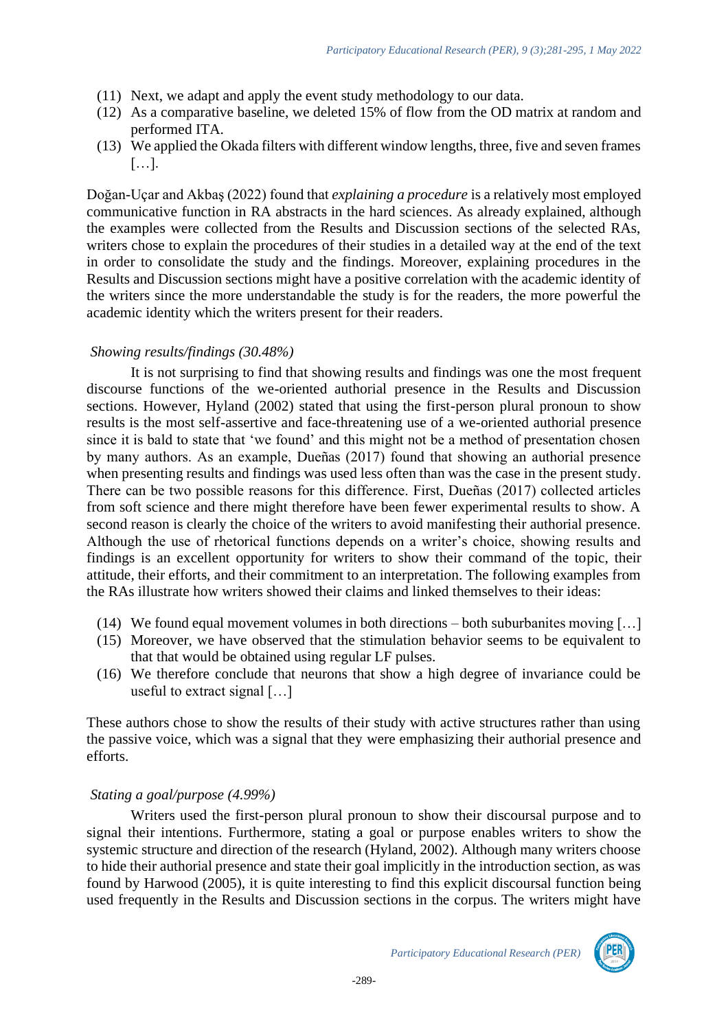- (11) Next, we adapt and apply the event study methodology to our data.
- (12) As a comparative baseline, we deleted 15% of flow from the OD matrix at random and performed ITA.
- (13) We applied the Okada filters with different window lengths, three, five and seven frames […].

Doğan-Uçar and Akbaş (2022) found that *explaining a procedure* is a relatively most employed communicative function in RA abstracts in the hard sciences. As already explained, although the examples were collected from the Results and Discussion sections of the selected RAs, writers chose to explain the procedures of their studies in a detailed way at the end of the text in order to consolidate the study and the findings. Moreover, explaining procedures in the Results and Discussion sections might have a positive correlation with the academic identity of the writers since the more understandable the study is for the readers, the more powerful the academic identity which the writers present for their readers.

### *Showing results/findings (30.48%)*

It is not surprising to find that showing results and findings was one the most frequent discourse functions of the we-oriented authorial presence in the Results and Discussion sections. However, Hyland (2002) stated that using the first-person plural pronoun to show results is the most self-assertive and face-threatening use of a we-oriented authorial presence since it is bald to state that 'we found' and this might not be a method of presentation chosen by many authors. As an example, Dueñas (2017) found that showing an authorial presence when presenting results and findings was used less often than was the case in the present study. There can be two possible reasons for this difference. First, Dueñas (2017) collected articles from soft science and there might therefore have been fewer experimental results to show. A second reason is clearly the choice of the writers to avoid manifesting their authorial presence. Although the use of rhetorical functions depends on a writer's choice, showing results and findings is an excellent opportunity for writers to show their command of the topic, their attitude, their efforts, and their commitment to an interpretation. The following examples from the RAs illustrate how writers showed their claims and linked themselves to their ideas:

- (14) We found equal movement volumes in both directions both suburbanites moving […]
- (15) Moreover, we have observed that the stimulation behavior seems to be equivalent to that that would be obtained using regular LF pulses.
- (16) We therefore conclude that neurons that show a high degree of invariance could be useful to extract signal […]

These authors chose to show the results of their study with active structures rather than using the passive voice, which was a signal that they were emphasizing their authorial presence and efforts.

# *Stating a goal/purpose (4.99%)*

Writers used the first-person plural pronoun to show their discoursal purpose and to signal their intentions. Furthermore, stating a goal or purpose enables writers to show the systemic structure and direction of the research (Hyland, 2002). Although many writers choose to hide their authorial presence and state their goal implicitly in the introduction section, as was found by Harwood (2005), it is quite interesting to find this explicit discoursal function being used frequently in the Results and Discussion sections in the corpus. The writers might have

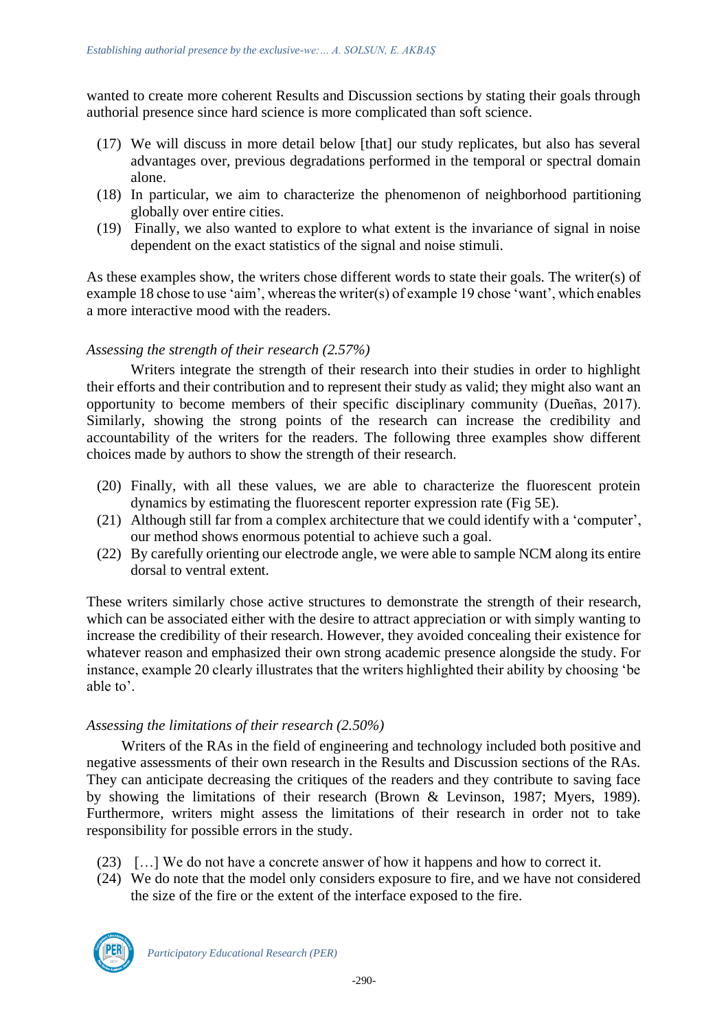wanted to create more coherent Results and Discussion sections by stating their goals through authorial presence since hard science is more complicated than soft science.

- (17) We will discuss in more detail below [that] our study replicates, but also has several advantages over, previous degradations performed in the temporal or spectral domain alone.
- (18) In particular, we aim to characterize the phenomenon of neighborhood partitioning globally over entire cities.
- (19) Finally, we also wanted to explore to what extent is the invariance of signal in noise dependent on the exact statistics of the signal and noise stimuli.

As these examples show, the writers chose different words to state their goals. The writer(s) of example 18 chose to use 'aim', whereas the writer(s) of example 19 chose 'want', which enables a more interactive mood with the readers.

### *Assessing the strength of their research (2.57%)*

Writers integrate the strength of their research into their studies in order to highlight their efforts and their contribution and to represent their study as valid; they might also want an opportunity to become members of their specific disciplinary community (Dueñas, 2017). Similarly, showing the strong points of the research can increase the credibility and accountability of the writers for the readers. The following three examples show different choices made by authors to show the strength of their research.

- (20) Finally, with all these values, we are able to characterize the fluorescent protein dynamics by estimating the fluorescent reporter expression rate (Fig 5E).
- (21) Although still far from a complex architecture that we could identify with a 'computer', our method shows enormous potential to achieve such a goal.
- (22) By carefully orienting our electrode angle, we were able to sample NCM along its entire dorsal to ventral extent.

These writers similarly chose active structures to demonstrate the strength of their research, which can be associated either with the desire to attract appreciation or with simply wanting to increase the credibility of their research. However, they avoided concealing their existence for whatever reason and emphasized their own strong academic presence alongside the study. For instance, example 20 clearly illustrates that the writers highlighted their ability by choosing 'be able to'.

#### *Assessing the limitations of their research (2.50%)*

Writers of the RAs in the field of engineering and technology included both positive and negative assessments of their own research in the Results and Discussion sections of the RAs. They can anticipate decreasing the critiques of the readers and they contribute to saving face by showing the limitations of their research (Brown & Levinson, 1987; Myers, 1989). Furthermore, writers might assess the limitations of their research in order not to take responsibility for possible errors in the study.

- (23) […] We do not have a concrete answer of how it happens and how to correct it.
- (24) We do note that the model only considers exposure to fire, and we have not considered the size of the fire or the extent of the interface exposed to the fire.

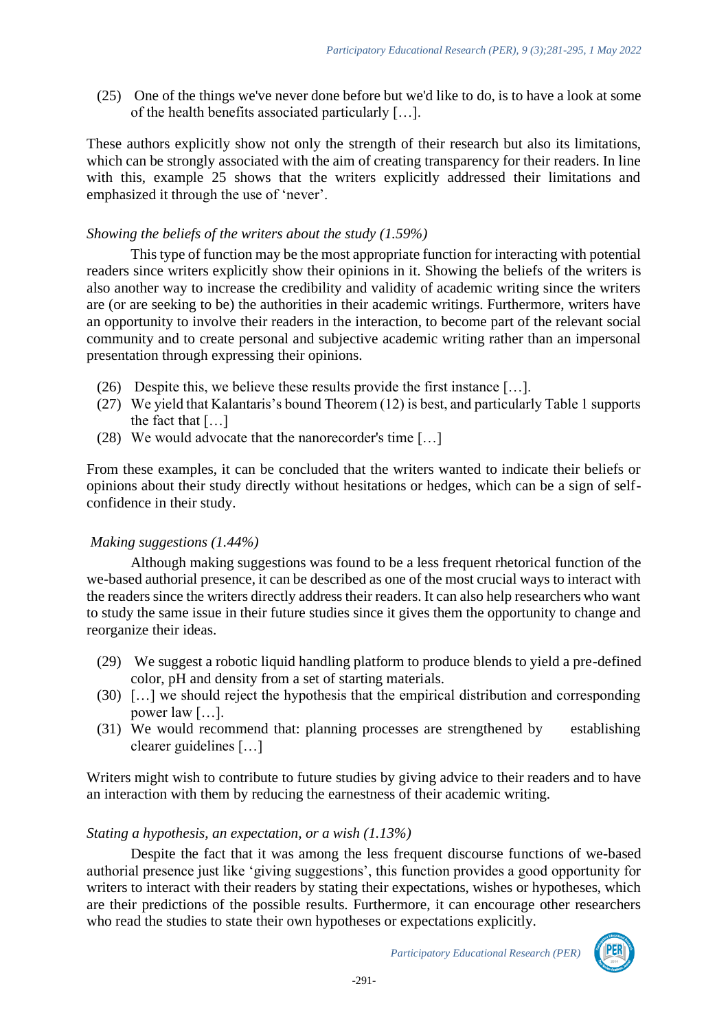(25) One of the things we've never done before but we'd like to do, is to have a look at some of the health benefits associated particularly […].

These authors explicitly show not only the strength of their research but also its limitations, which can be strongly associated with the aim of creating transparency for their readers. In line with this, example 25 shows that the writers explicitly addressed their limitations and emphasized it through the use of 'never'.

# *Showing the beliefs of the writers about the study (1.59%)*

This type of function may be the most appropriate function for interacting with potential readers since writers explicitly show their opinions in it. Showing the beliefs of the writers is also another way to increase the credibility and validity of academic writing since the writers are (or are seeking to be) the authorities in their academic writings. Furthermore, writers have an opportunity to involve their readers in the interaction, to become part of the relevant social community and to create personal and subjective academic writing rather than an impersonal presentation through expressing their opinions.

- (26) Despite this, we believe these results provide the first instance […].
- (27) We yield that Kalantaris's bound Theorem (12) is best, and particularly Table 1 supports the fact that […]
- (28) We would advocate that the nanorecorder's time […]

From these examples, it can be concluded that the writers wanted to indicate their beliefs or opinions about their study directly without hesitations or hedges, which can be a sign of selfconfidence in their study.

# *Making suggestions (1.44%)*

Although making suggestions was found to be a less frequent rhetorical function of the we-based authorial presence, it can be described as one of the most crucial ways to interact with the readers since the writers directly address their readers. It can also help researchers who want to study the same issue in their future studies since it gives them the opportunity to change and reorganize their ideas.

- (29) We suggest a robotic liquid handling platform to produce blends to yield a pre-defined color, pH and density from a set of starting materials.
- (30) […] we should reject the hypothesis that the empirical distribution and corresponding power law […].
- (31) We would recommend that: planning processes are strengthened by establishing clearer guidelines […]

Writers might wish to contribute to future studies by giving advice to their readers and to have an interaction with them by reducing the earnestness of their academic writing.

# *Stating a hypothesis, an expectation, or a wish (1.13%)*

Despite the fact that it was among the less frequent discourse functions of we-based authorial presence just like 'giving suggestions', this function provides a good opportunity for writers to interact with their readers by stating their expectations, wishes or hypotheses, which are their predictions of the possible results. Furthermore, it can encourage other researchers who read the studies to state their own hypotheses or expectations explicitly.

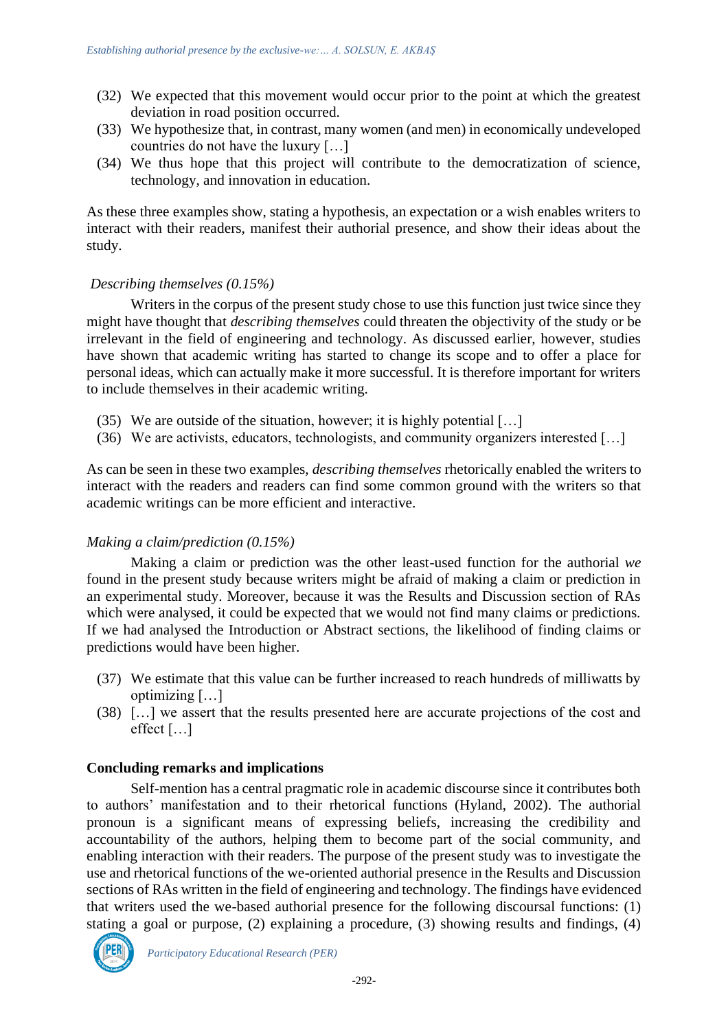- (32) We expected that this movement would occur prior to the point at which the greatest deviation in road position occurred.
- (33) We hypothesize that, in contrast, many women (and men) in economically undeveloped countries do not have the luxury […]
- (34) We thus hope that this project will contribute to the democratization of science, technology, and innovation in education.

As these three examples show, stating a hypothesis, an expectation or a wish enables writers to interact with their readers, manifest their authorial presence, and show their ideas about the study.

#### *Describing themselves (0.15%)*

Writers in the corpus of the present study chose to use this function just twice since they might have thought that *describing themselves* could threaten the objectivity of the study or be irrelevant in the field of engineering and technology. As discussed earlier, however, studies have shown that academic writing has started to change its scope and to offer a place for personal ideas, which can actually make it more successful. It is therefore important for writers to include themselves in their academic writing.

- (35) We are outside of the situation, however; it is highly potential […]
- (36) We are activists, educators, technologists, and community organizers interested […]

As can be seen in these two examples, *describing themselves* rhetorically enabled the writers to interact with the readers and readers can find some common ground with the writers so that academic writings can be more efficient and interactive.

# *Making a claim/prediction (0.15%)*

Making a claim or prediction was the other least-used function for the authorial *we*  found in the present study because writers might be afraid of making a claim or prediction in an experimental study. Moreover, because it was the Results and Discussion section of RAs which were analysed, it could be expected that we would not find many claims or predictions. If we had analysed the Introduction or Abstract sections, the likelihood of finding claims or predictions would have been higher.

- (37) We estimate that this value can be further increased to reach hundreds of milliwatts by optimizing […]
- (38) […] we assert that the results presented here are accurate projections of the cost and effect […]

# **Concluding remarks and implications**

Self-mention has a central pragmatic role in academic discourse since it contributes both to authors' manifestation and to their rhetorical functions (Hyland, 2002). The authorial pronoun is a significant means of expressing beliefs, increasing the credibility and accountability of the authors, helping them to become part of the social community, and enabling interaction with their readers. The purpose of the present study was to investigate the use and rhetorical functions of the we-oriented authorial presence in the Results and Discussion sections of RAs written in the field of engineering and technology. The findings have evidenced that writers used the we-based authorial presence for the following discoursal functions: (1) stating a goal or purpose, (2) explaining a procedure, (3) showing results and findings, (4)

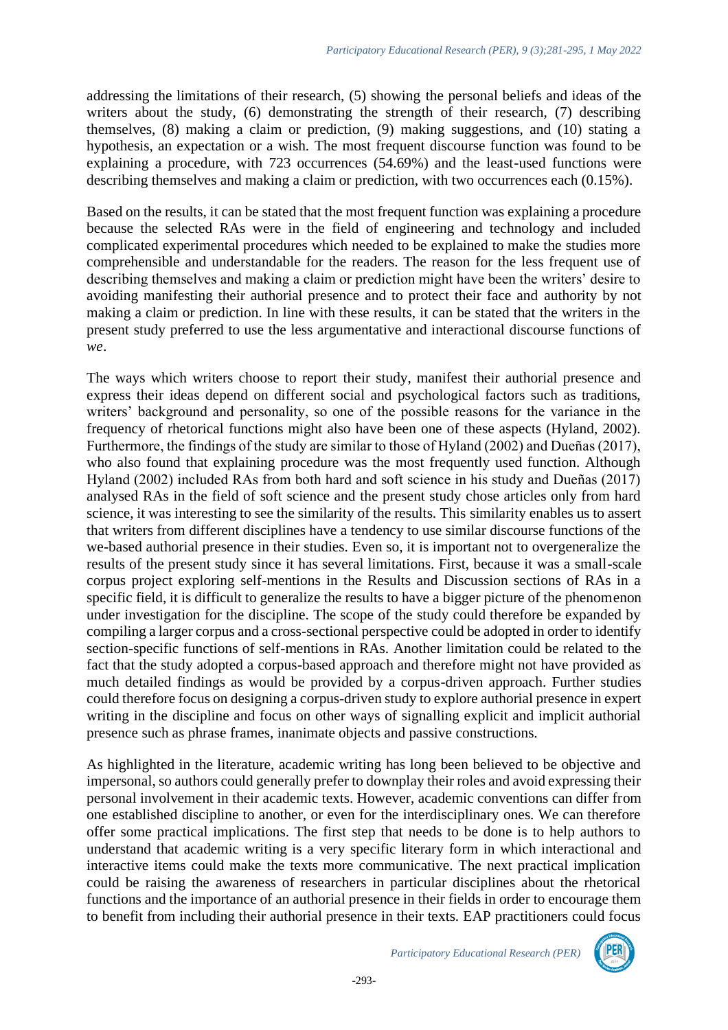addressing the limitations of their research, (5) showing the personal beliefs and ideas of the writers about the study, (6) demonstrating the strength of their research, (7) describing themselves, (8) making a claim or prediction, (9) making suggestions, and (10) stating a hypothesis, an expectation or a wish. The most frequent discourse function was found to be explaining a procedure, with 723 occurrences (54.69%) and the least-used functions were describing themselves and making a claim or prediction, with two occurrences each (0.15%).

Based on the results, it can be stated that the most frequent function was explaining a procedure because the selected RAs were in the field of engineering and technology and included complicated experimental procedures which needed to be explained to make the studies more comprehensible and understandable for the readers. The reason for the less frequent use of describing themselves and making a claim or prediction might have been the writers' desire to avoiding manifesting their authorial presence and to protect their face and authority by not making a claim or prediction. In line with these results, it can be stated that the writers in the present study preferred to use the less argumentative and interactional discourse functions of *we*.

The ways which writers choose to report their study, manifest their authorial presence and express their ideas depend on different social and psychological factors such as traditions, writers' background and personality, so one of the possible reasons for the variance in the frequency of rhetorical functions might also have been one of these aspects (Hyland, 2002). Furthermore, the findings of the study are similar to those of Hyland (2002) and Dueñas (2017), who also found that explaining procedure was the most frequently used function. Although Hyland (2002) included RAs from both hard and soft science in his study and Dueñas (2017) analysed RAs in the field of soft science and the present study chose articles only from hard science, it was interesting to see the similarity of the results. This similarity enables us to assert that writers from different disciplines have a tendency to use similar discourse functions of the we-based authorial presence in their studies. Even so, it is important not to overgeneralize the results of the present study since it has several limitations. First, because it was a small-scale corpus project exploring self-mentions in the Results and Discussion sections of RAs in a specific field, it is difficult to generalize the results to have a bigger picture of the phenomenon under investigation for the discipline. The scope of the study could therefore be expanded by compiling a larger corpus and a cross-sectional perspective could be adopted in order to identify section-specific functions of self-mentions in RAs. Another limitation could be related to the fact that the study adopted a corpus-based approach and therefore might not have provided as much detailed findings as would be provided by a corpus-driven approach. Further studies could therefore focus on designing a corpus-driven study to explore authorial presence in expert writing in the discipline and focus on other ways of signalling explicit and implicit authorial presence such as phrase frames, inanimate objects and passive constructions.

As highlighted in the literature, academic writing has long been believed to be objective and impersonal, so authors could generally prefer to downplay their roles and avoid expressing their personal involvement in their academic texts. However, academic conventions can differ from one established discipline to another, or even for the interdisciplinary ones. We can therefore offer some practical implications. The first step that needs to be done is to help authors to understand that academic writing is a very specific literary form in which interactional and interactive items could make the texts more communicative. The next practical implication could be raising the awareness of researchers in particular disciplines about the rhetorical functions and the importance of an authorial presence in their fields in order to encourage them to benefit from including their authorial presence in their texts. EAP practitioners could focus

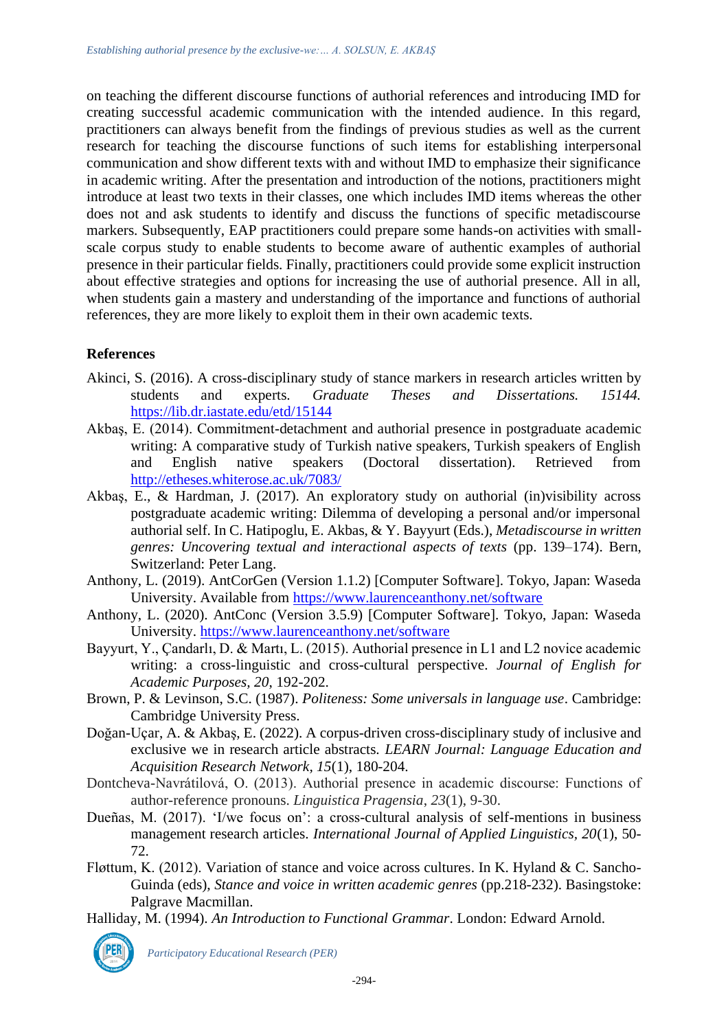on teaching the different discourse functions of authorial references and introducing IMD for creating successful academic communication with the intended audience. In this regard, practitioners can always benefit from the findings of previous studies as well as the current research for teaching the discourse functions of such items for establishing interpersonal communication and show different texts with and without IMD to emphasize their significance in academic writing. After the presentation and introduction of the notions, practitioners might introduce at least two texts in their classes, one which includes IMD items whereas the other does not and ask students to identify and discuss the functions of specific metadiscourse markers. Subsequently, EAP practitioners could prepare some hands-on activities with smallscale corpus study to enable students to become aware of authentic examples of authorial presence in their particular fields. Finally, practitioners could provide some explicit instruction about effective strategies and options for increasing the use of authorial presence. All in all, when students gain a mastery and understanding of the importance and functions of authorial references, they are more likely to exploit them in their own academic texts.

# **References**

- Akinci, S. (2016). A cross-disciplinary study of stance markers in research articles written by students and experts. *Graduate Theses and Dissertations. 15144.*  <https://lib.dr.iastate.edu/etd/15144>
- Akbaş, E. (2014). Commitment-detachment and authorial presence in postgraduate academic writing: A comparative study of Turkish native speakers, Turkish speakers of English and English native speakers (Doctoral dissertation). Retrieved from <http://etheses.whiterose.ac.uk/7083/>
- Akbaş, E., & Hardman, J. (2017). An exploratory study on authorial (in)visibility across postgraduate academic writing: Dilemma of developing a personal and/or impersonal authorial self. In C. Hatipoglu, E. Akbas, & Y. Bayyurt (Eds.), *Metadiscourse in written genres: Uncovering textual and interactional aspects of texts* (pp. 139–174). Bern, Switzerland: Peter Lang.
- Anthony, L. (2019). AntCorGen (Version 1.1.2) [Computer Software]. Tokyo, Japan: Waseda University. Available from<https://www.laurenceanthony.net/software>
- Anthony, L. (2020). AntConc (Version 3.5.9) [Computer Software]. Tokyo, Japan: Waseda University.<https://www.laurenceanthony.net/software>
- Bayyurt, Y., Çandarlı, D. & Martı, L. (2015). Authorial presence in L1 and L2 novice academic writing: a cross-linguistic and cross-cultural perspective. *Journal of English for Academic Purposes, 20*, 192-202.
- Brown, P. & Levinson, S.C. (1987). *Politeness: Some universals in language use*. Cambridge: Cambridge University Press.
- Doğan-Uçar, A. & Akbaş, E. (2022). A corpus-driven cross-disciplinary study of inclusive and exclusive we in research article abstracts. *LEARN Journal: Language Education and Acquisition Research Network, 15*(1), 180-204.
- Dontcheva-Navrátilová, O. (2013). Authorial presence in academic discourse: Functions of author-reference pronouns. *Linguistica Pragensia*, *23*(1), 9-30.
- Dueñas, M. (2017). 'I/we focus on': a cross-cultural analysis of self-mentions in business management research articles. *International Journal of Applied Linguistics, 20*(1), 50- 72.
- Fløttum, K. (2012). Variation of stance and voice across cultures. In K. Hyland & C. Sancho-Guinda (eds), *Stance and voice in written academic genres* (pp.218-232). Basingstoke: Palgrave Macmillan.
- Halliday, M. (1994). *An Introduction to Functional Grammar*. London: Edward Arnold.